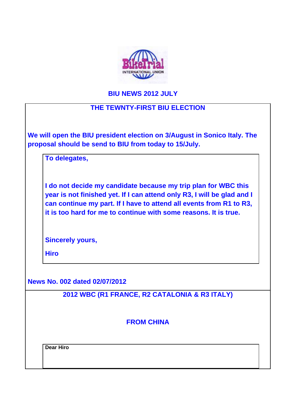

## **BIU NEWS 2012 JULY**

# **THE TEWNTY-FIRST BIU ELECTION**

**We will open the BIU president election on 3/August in Sonico Italy. The proposal should be send to BIU from today to 15/July.** 

**To delegates,**

**I do not decide my candidate because my trip plan for WBC this year is not finished yet. If I can attend only R3, I will be glad and I can continue my part. If I have to attend all events from R1 to R3, it is too hard for me to continue with some reasons. It is true.** 

**Sincerely yours,**

**Hiro**

**News No. 002 dated 02/07/2012**

**2012 WBC (R1 FRANCE, R2 CATALONIA & R3 ITALY)**

**FROM CHINA**

**Dear Hiro**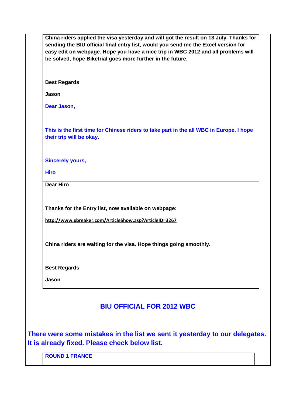|                                                                                                                              | easy edit on webpage. Hope you have a nice trip in WBC 2012 and all problems will |
|------------------------------------------------------------------------------------------------------------------------------|-----------------------------------------------------------------------------------|
| be solved, hope Biketrial goes more further in the future.                                                                   |                                                                                   |
| <b>Best Regards</b>                                                                                                          |                                                                                   |
| Jason                                                                                                                        |                                                                                   |
| Dear Jason,                                                                                                                  |                                                                                   |
| This is the first time for Chinese riders to take part in the all WBC in Europe. I hope<br>their trip will be okay.          |                                                                                   |
| <b>Sincerely yours,</b>                                                                                                      |                                                                                   |
| <b>Hiro</b>                                                                                                                  |                                                                                   |
| <b>Dear Hiro</b>                                                                                                             |                                                                                   |
|                                                                                                                              |                                                                                   |
| Thanks for the Entry list, now available on webpage:                                                                         |                                                                                   |
| http://www.xbreaker.com/ArticleShow.asp?ArticleID=3267                                                                       |                                                                                   |
|                                                                                                                              |                                                                                   |
| China riders are waiting for the visa. Hope things going smoothly.                                                           |                                                                                   |
|                                                                                                                              |                                                                                   |
| <b>Best Regards</b>                                                                                                          |                                                                                   |
| Jason                                                                                                                        |                                                                                   |
|                                                                                                                              |                                                                                   |
| <b>BIU OFFICIAL FOR 2012 WBC</b>                                                                                             |                                                                                   |
|                                                                                                                              |                                                                                   |
|                                                                                                                              |                                                                                   |
| There were some mistakes in the list we sent it yesterday to our delegates.<br>It is already fixed. Please check below list. |                                                                                   |
| <b>ROUND 1 FRANCE</b>                                                                                                        |                                                                                   |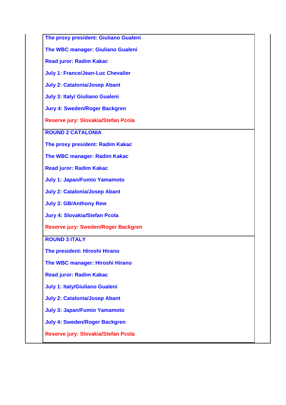**The proxy president: Giuliano Gualeni**

**The WBC manager: Giuliano Gualeni**

**Read juror: Radim Kakac**

**July 1: France/Jean-Luc Chevalier**

**July 2: Catalonia/Josep Abant**

**July 3: Italy/ Giuliano Gualeni**

**Jury 4: Sweden/Roger Backgren**

**Reserve jury: Slovakia/Stefan Pcola**

**ROUND 2 CATALONIA**

**The proxy president: Radim Kakac**

**The WBC manager: Radim Kakac**

**Read juror: Radim Kakac**

**July 1: Japan/Fumio Yamamoto**

**July 2: Catalonia/Josep Abant**

**July 3: GB/Anthony Rew**

**Jury 4: Slovakia/Stefan Pcola** 

**Reserve jury: Sweden/Roger Backgren**

**ROUND 3 ITALY**

**The president: Hiroshi Hirano**

**The WBC manager: Hiroshi Hirano**

**Read juror: Radim Kakac**

**July 1: Italy/Giuliano Gualeni**

**July 2: Catalonia/Josep Abant**

**July 3: Japan/Fumio Yamamoto** 

**July 4: Sweden/Roger Backgren**

**Reserve jury: Slovakia/Stefan Pcola**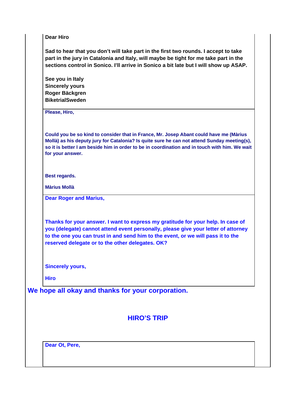**Dear Hiro** 

**Sad to hear that you don't will take part in the first two rounds. I accept to take part in the jury in Catalonia and Italy, will maybe be tight for me take part in the sections control in Sonico. I'll arrive in Sonico a bit late but I will show up ASAP.** 

**See you in Italy Sincerely yours Roger Bäckgren BiketrialSweden**

**Please, Hiro,**

**Could you be so kind to consider that in France, Mr. Josep Abant could have me (Màrius Mollà) as his deputy jury for Catalonia? Is quite sure he can not attend Sunday meeting(s), so it is better I am beside him in order to be in coordination and in touch with him. We wait for your answer.**

**Best regards.**

**Màrius Mollà**

**Dear Roger and Marius,**

**Thanks for your answer. I want to express my gratitude for your help. In case of you (delegate) cannot attend event personally, please give your letter of attorney to the one you can trust in and send him to the event, or we will pass it to the reserved delegate or to the other delegates. OK?**

**Sincerely yours,**

**Hiro**

**We hope all okay and thanks for your corporation.**

**HIRO'S TRIP**

**Dear Ot, Pere,**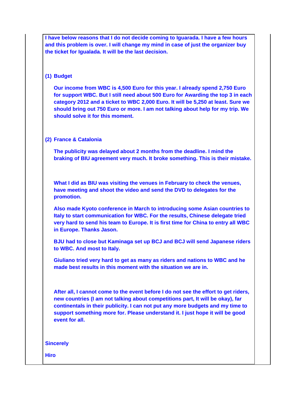**I have below reasons that I do not decide coming to Iguarada. I have a few hours and this problem is over. I will change my mind in case of just the organizer buy the ticket for Igualada. It will be the last decision.**

## **(1) Budget**

**Our income from WBC is 4,500 Euro for this year. I already spend 2,750 Euro for support WBC. But I still need about 500 Euro for Awarding the top 3 in each category 2012 and a ticket to WBC 2,000 Euro. It will be 5,250 at least. Sure we should bring out 750 Euro or more. I am not talking about help for my trip. We should solve it for this moment.** 

### **(2) France & Catalonia**

**The publicity was delayed about 2 months from the deadline. I mind the braking of BIU agreement very much. It broke something. This is their mistake.**

**What I did as BIU was visiting the venues in February to check the venues, have meeting and shoot the video and send the DVD to delegates for the promotion.** 

**Also made Kyoto conference in March to introducing some Asian countries to Italy to start communication for WBC. For the results, Chinese delegate tried very hard to send his team to Europe. It is first time for China to entry all WBC in Europe. Thanks Jason.** 

**BJU had to close but Kaminaga set up BCJ and BCJ will send Japanese riders to WBC. And most to Italy.** 

**Giuliano tried very hard to get as many as riders and nations to WBC and he made best results in this moment with the situation we are in.** 

**After all, I cannot come to the event before I do not see the effort to get riders, new countries (I am not talking about competitions part, It will be okay), far continentals in their publicity. I can not put any more budgets and my time to support something more for. Please understand it. I just hope it will be good event for all.** 

#### **Sincerely**

**Hiro**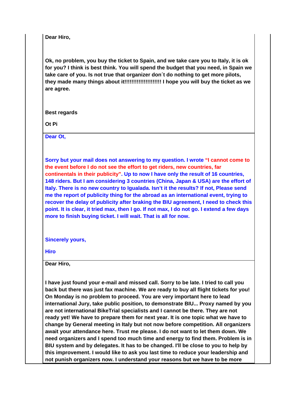**Dear Hiro,**

**Ok, no problem, you buy the ticket to Spain, and we take care you to Italy, it is ok for you? I think is best think. You will spend the budget that you need, in Spain we take care of you. Is not true that organizer don´t do nothing to get more pilots, they made many things about it!!!!!!!!!!!!!!!!!!!!! I hope you will buy the ticket as we are agree.**

**Best regards**

**Ot Pi**

**Dear Ot,**

**Sorry but your mail does not answering to my question. I wrote "I cannot come to the event before I do not see the effort to get riders, new countries, far continentals in their publicity". Up to now I have only the result of 16 countries, 148 riders. But I am considering 3 countries (China, Japan & USA) are the effort of Italy. There is no new country to Igualada. Isn't it the results? If not, Please send me the report of publicity thing for the abroad as an international event, trying to recover the delay of publicity after braking the BIU agreement, I need to check this point. It is clear, it tried max, then I go. If not max, I do not go. I extend a few days more to finish buying ticket. I will wait. That is all for now.**

**Sincerely yours,**

**Hiro**

**Dear Hiro,** 

**I have just found your e-mail and missed call. Sorry to be late. I tried to call you back but there was just fax machine. We are ready to buy all flight tickets for you! On Monday is no problem to proceed. You are very important here to lead international Jury, take public position, to demonstrate BIU... Proxy named by you are not international BikeTrial specialists and I cannot be there. They are not ready yet! We have to prepare them for next year. It is one topic what we have to change by General meeting in Italy but not now before competition. All organizers await your attendance here. Trust me please. I do not want to let them down. We need organizers and I spend too much time and energy to find them. Problem is in BIU system and by delegates. It has to be changed. I'll be close to you to help by this improvement. I would like to ask you last time to reduce your leadership and not punish organizers now. I understand your reasons but we have to be more**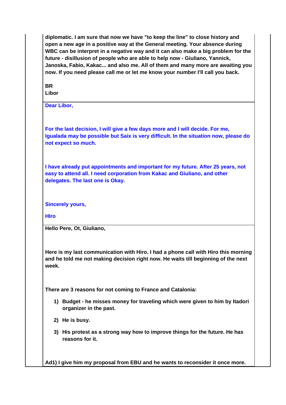**diplomatic. I am sure that now we have "to keep the line" to close history and open a new age in a positive way at the General meeting. Your absence during WBC can be interpret in a negative way and it can also make a big problem for the future - disillusion of people who are able to help now - Giuliano, Yannick, Janoska, Fabio, Kakac... and also me. All of them and many more are awaiting you now. If you need please call me or let me know your number I'll call you back.** 

**BR Libor**

**Dear Libor,**

**For the last decision, I will give a few days more and I will decide. For me, Igualada may be possible but Saix is very difficult. In the situation now, please do not expect so much.**

**I have already put appointments and important for my future. After 25 years, not easy to attend all. I need corporation from Kakac and Giuliano, and other delegates. The last one is Okay.**

**Sincerely yours,**

**HIro**

**Hello Pere, Ot, Giuliano,**

**Here is my last communication with Hiro. I had a phone call with Hiro this morning and he told me not making decision right now. He waits till beginning of the next week.**

**There are 3 reasons for not coming to France and Catalonia:**

- **1) Budget he misses money for traveling which were given to him by Itadori organizer in the past.**
- **2) He is busy.**
- **3) His protest as a strong way how to improve things for the future. He has reasons for it.**

**Ad1) I give him my proposal from EBU and he wants to reconsider it once more.**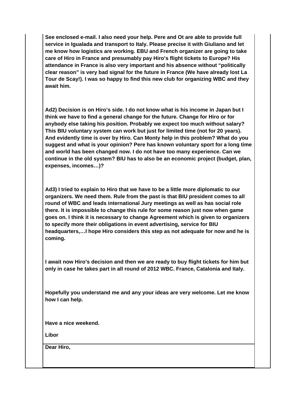**See enclosed e-mail. I also need your help. Pere and Ot are able to provide full service in Igualada and transport to Italy. Please precise it with Giuliano and let me know how logistics are working. EBU and French organizer are going to take care of Hiro in France and presumably pay Hiro's flight tickets to Europe? His attendance in France is also very important and his absence without "politically clear reason" is very bad signal for the future in France (We have already lost La Tour de Scay!). I was so happy to find this new club for organizing WBC and they await him.**

**Ad2) Decision is on Hiro's side. I do not know what is his income in Japan but I think we have to find a general change for the future. Change for Hiro or for anybody else taking his position. Probably we expect too much without salary? This BIU voluntary system can work but just for limited time (not for 20 years). And evidently time is over by Hiro. Can Monty help in this problem? What do you suggest and what is your opinion? Pere has known voluntary sport for a long time and world has been changed now. I do not have too many experience. Can we continue in the old system? BIU has to also be an economic project (budget, plan, expenses, incomes…)?**

**Ad3) I tried to explain to Hiro that we have to be a little more diplomatic to our organizers. We need them. Rule from the past is that BIU president comes to all round of WBC and leads international Jury meetings as well as has social role there. It is impossible to change this rule for some reason just now when game goes on. I think it is necessary to change Agreement which is given to organizers to specify more their obligations in event advertising, service for BIU headquarters,…I hope Hiro considers this step as not adequate for now and he is coming.** 

**I await now Hiro's decision and then we are ready to buy flight tickets for him but only in case he takes part in all round of 2012 WBC. France, Catalonia and Italy.**

**Hopefully you understand me and any your ideas are very welcome. Let me know how I can help.**

**Have a nice weekend.**

**Libor**

**Dear Hiro,**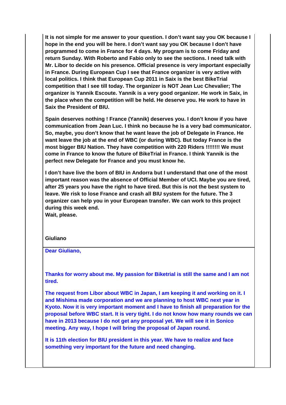**It is not simple for me answer to your question. I don't want say you OK because I hope in the end you will be here. I don't want say you OK because I don't have programmed to come in France for 4 days. My program is to come Friday and return Sunday. With Roberto and Fabio only to see the sections. I need talk with Mr. Libor to decide on his presence. Official presence is very important especially in France. During European Cup I see that France organizer is very active with local politics. I think that European Cup 2011 in Saix is the best BikeTrial competition that I see till today. The organizer is NOT Jean Luc Chevalier; The organizer is Yannik Escoute. Yannik is a very good organizer. He work in Saix, in the place when the competition will be held. He deserve you. He work to have in Saix the President of BIU.** 

**Spain deserves nothing ! France (Yannik) deserves you. I don't know if you have communication from Jean Luc. I think no because he is a very bad communicator. So, maybe, you don't know that he want leave the job of Delegate in France. He want leave the job at the end of WBC (or during WBC). But today France is the most bigger BIU Nation. They have competition with 220 Riders !!!!!!!! We must come in France to know the future of BikeTrial in France. I think Yannik is the perfect new Delegate for France and you must know he.** 

**I don't have live the born of BIU in Andorra but I understand that one of the most important reason was the absence of Official Member of UCI. Maybe you are tired, after 25 years you have the right to have tired. But this is not the best system to leave. We risk to lose France and crash all BIU system for the future. The 3 organizer can help you in your European transfer. We can work to this project during this week end.** 

**Wait, please.**

#### **Giuliano**

**Dear Giuliano,**

**Thanks for worry about me. My passion for Biketrial is still the same and I am not tired.** 

**The request from Libor about WBC in Japan, I am keeping it and working on it. I and Mishima made corporation and we are planning to host WBC next year in Kyoto. Now it is very important moment and I have to finish all preparation for the proposal before WBC start. It is very tight. I do not know how many rounds we can have in 2013 because I do not get any proposal yet. We will see it in Sonico meeting. Any way, I hope I will bring the proposal of Japan round.**

**It is 11th election for BIU president in this year. We have to realize and face something very important for the future and need changing.**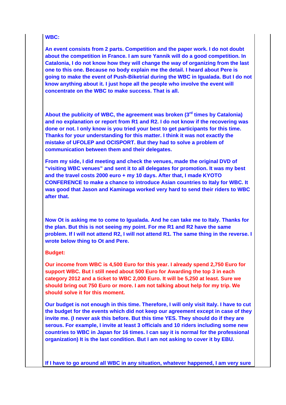### **WBC:**

**An event consists from 2 parts. Competition and the paper work. I do not doubt about the competition in France. I am sure Yannik will do a good competition. In Catalonia, I do not know how they will change the way of organizing from the last one to this one. Because no body explain me the detail. I heard about Pere is going to make the event of Push-Biketrial during the WBC in Igualada. But I do not know anything about it. I just hope all the people who involve the event will concentrate on the WBC to make success. That is all.**

**About the publicity of WBC, the agreement was broken (3rd times by Catalonia) and no explanation or report from R1 and R2. I do not know if the recovering was done or not. I only know is you tried your best to get participants for this time. Thanks for your understanding for this matter. I think it was not exactly the mistake of UFOLEP and OCISPORT. But they had to solve a problem of communication between them and their delegates.** 

**From my side, I did meeting and check the venues, made the original DVD of "visiting WBC venues" and sent it to all delegates for promotion. It was my best and the travel costs 2000 euro + my 10 days. After that, I made KYOTO CONFERENCE to make a chance to introduce Asian countries to Italy for WBC. It was good that Jason and Kaminaga worked very hard to send their riders to WBC after that.** 

**Now Ot is asking me to come to Igualada. And he can take me to Italy. Thanks for the plan. But this is not seeing my point. For me R1 and R2 have the same problem. If I will not attend R2, I will not attend R1. The same thing in the reverse. I wrote below thing to Ot and Pere.**

#### **Budget:**

**Our income from WBC is 4,500 Euro for this year. I already spend 2,750 Euro for support WBC. But I still need about 500 Euro for Awarding the top 3 in each category 2012 and a ticket to WBC 2,000 Euro. It will be 5,250 at least. Sure we should bring out 750 Euro or more. I am not talking about help for my trip. We should solve it for this moment.** 

**Our budget is not enough in this time. Therefore, I will only visit Italy. I have to cut the budget for the events which did not keep our agreement except in case of they invite me. (I never ask this before. But this time YES. They should do if they are serous. For example, I invite at least 3 officials and 10 riders including some new countries to WBC in Japan for 16 times. I can say it is normal for the professional organization) It is the last condition. But I am not asking to cover it by EBU.** 

**If I have to go around all WBC in any situation, whatever happened, I am very sure**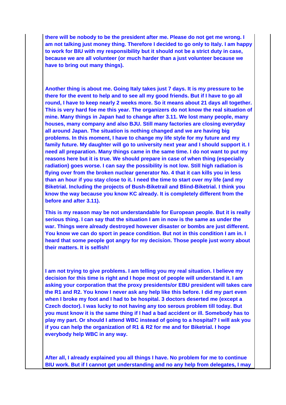**there will be nobody to be the president after me. Please do not get me wrong. I am not talking just money thing. Therefore I decided to go only to Italy. I am happy to work for BIU with my responsibility but it should not be a strict duty in case, because we are all volunteer (or much harder than a just volunteer because we have to bring out many things).** 

**Another thing is about me. Going Italy takes just 7 days. It is my pressure to be there for the event to help and to see all my good friends. But if I have to go all round, I have to keep nearly 2 weeks more. So it means about 21 days all together. This is very hard foe me this year. The organizers do not know the real situation of mine. Many things in Japan had to change after 3.11. We lost many people, many houses, many company and also BJU. Still many factories are closing everyday all around Japan. The situation is nothing changed and we are having big problems. In this moment, I have to change my life style for my future and my family future. My daughter will go to university next year and I should support it. I need all preparation. Many things came in the same time. I do not want to put my reasons here but it is true. We should prepare in case of when thing (especially radiation) goes worse. I can say the possibility is not low. Still high radiation is flying over from the broken nuclear generator No. 4 that it can kills you in less than an hour if you stay close to it. I need the time to start over my life (and my Biketrial. Including the projects of Bush-Biketrail and Blind-Biketrial. I think you know the way because you know KC already. It is completely different from the before and after 3.11).** 

**This is my reason may be not understandable for European people. But it is really serious thing. I can say that the situation I am in now is the same as under the war. Things were already destroyed however disaster or bombs are just different. You know we can do sport in peace condition. But not in this condition I am in. I heard that some people got angry for my decision. Those people just worry about their matters. It is selfish!** 

**I am not trying to give problems. I am telling you my real situation. I believe my decision for this time is right and I hope most of people will understand it. I am asking your corporation that the proxy presidents/or EBU president will takes care the R1 and R2. You know I never ask any help like this before. I did my part even when I broke my foot and I had to be hospital. 3 doctors deserted me (except a Czech doctor). I was lucky to not having any too serous problem till today. But you must know it is the same thing if I had a bad accident or ill. Somebody has to play my part. Or should I attend WBC instead of going to a hospital? I will ask you if you can help the organization of R1 & R2 for me and for Biketrial. I hope everybody help WBC in any way.** 

**After all, I already explained you all things I have. No problem for me to continue BIU work. But if I cannot get understanding and no any help from delegates, I may**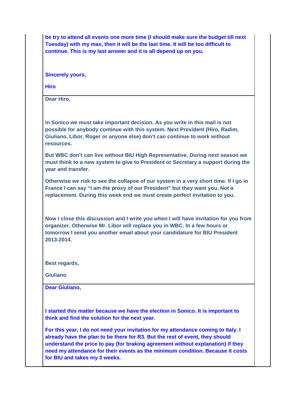**be try to attend all events one more time (I should make sure the budget till next Tuesday) with my max, then it will be the last time. It will be too difficult to continue. This is my last answer and it is all depend up on you.**

**Sincerely yours,**

**Hiro**

**Dear Hiro,**

**in Sonico we must take important decision. As you write in this mail is not possible for anybody continue with this system. Next President (Hiro, Radim, Giuliano, Libor, Roger or anyone else) don't can continue to work without resources.** 

**But WBC don't can live without BIU High Representative. During next season we must think to a new system to give to President or Secretary a support during the year and transfer.** 

**Otherwise we risk to see the collapse of our system in a very short time. If I go in France I can say "I am the proxy of our President" but they want you. Not a replacement. During this week end we must create perfect invitation to you.** 

**Now I close this discussion and I write you when I will have invitation for you from organizer. Otherwise Mr. Libor will replace you in WBC. In a few hours or tomorrow I send you another email about your candidature for BIU President 2013-2014.**

**Best regards,**

**Giuliano**

**Dear Giuliano,**

**I started this matter because we have the election in Sonico. It is important to think and find the solution for the next year.** 

**For this year, I do not need your invitation for my attendance coming to Italy. I already have the plan to be there for R3. But the rest of event, they should understand the price to pay (for braking agreement without explanation) if they need my attendance for their events as the minimum condition. Because It costs for BIU and takes my 3 weeks.**